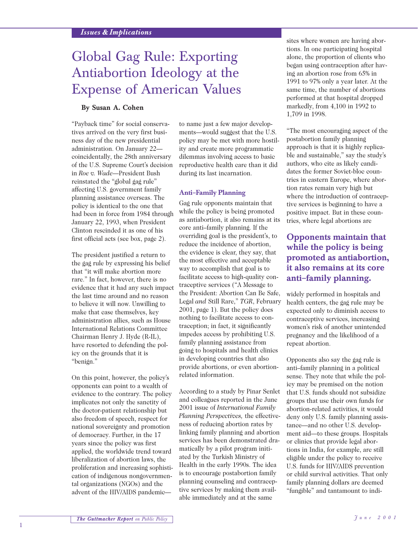# Global Gag Rule: Exporting Antiabortion Ideology at the Expense of American Values

## **By Susan A. Cohen**

"Payback time" for social conservatives arrived on the very first business day of the new presidential administration. On January 22 coincidentally, the 28th anniversary of the U.S. Supreme Court's decision in *Roe v. Wade*—President Bush reinstated the "global gag rule" affecting U.S. government family planning assistance overseas. The policy is identical to the one that had been in force from 1984 through January 22, 1993, when President Clinton rescinded it as one of his first official acts (see box, page 2).

The president justified a return to the gag rule by expressing his belief that "it will make abortion more rare." In fact, however, there is no evidence that it had any such impact the last time around and no reason to believe it will now. Unwilling to make that case themselves, key administration allies, such as House International Relations Committee Chairman Henry J. Hyde (R-IL), have resorted to defending the policy on the grounds that it is "benign."

On this point, however, the policy's opponents can point to a wealth of evidence to the contrary. The policy implicates not only the sanctity of the doctor-patient relationship but also freedom of speech, respect for national sovereignty and promotion of democracy. Further, in the 17 years since the policy was first applied, the worldwide trend toward liberalization of abortion laws, the proliferation and increasing sophistication of indigenous nongovernmental organizations (NGOs) and the advent of the HIV/AIDS pandemicto name just a few major developments—would suggest that the U.S. policy may be met with more hostility and create more programmatic dilemmas involving access to basic reproductive health care than it did during its last incarnation.

#### **Anti–Family Planning**

Gag rule opponents maintain that while the policy is being promoted as antiabortion, it also remains at its core anti–family planning. If the overriding goal is the president's, to reduce the incidence of abortion, the evidence is clear, they say, that the most effective and acceptable way to accomplish that goal is to facilitate access to high-quality contraceptive services ("A Message to the President: Abortion Can Be Safe, Legal *and* Still Rare," *TGR*, February 2001, page 1). But the policy does nothing to facilitate access to contraception; in fact, it significantly impedes access by prohibiting U.S. family planning assistance from going to hospitals and health clinics in developing countries that also provide abortions, or even abortionrelated information.

According to a study by Pinar Senlet and colleagues reported in the June 2001 issue of *International Family Planning Perspectives,* the effectiveness of reducing abortion rates by linking family planning and abortion services has been demonstrated dramatically by a pilot program initiated by the Turkish Ministry of Health in the early 1990s. The idea is to encourage postabortion family planning counseling and contraceptive services by making them available immediately and at the same

sites where women are having abortions. In one participating hospital alone, the proportion of clients who began using contraception after having an abortion rose from 65% in 1991 to 97% only a year later. At the same time, the number of abortions performed at that hospital dropped markedly, from 4,100 in 1992 to 1,709 in 1998.

"The most encouraging aspect of the postabortion family planning approach is that it is highly replicable and sustainable," say the study's authors, who cite as likely candidates the former Soviet-bloc countries in eastern Europe, where abortion rates remain very high but where the introduction of contraceptive services is beginning to have a positive impact. But in these countries, where legal abortions are

## **Opponents maintain that while the policy is being promoted as antiabortion, it also remains at its core anti–family planning.**

widely performed in hospitals and health centers, the gag rule may be expected only to diminish access to contraceptive services, increasing women's risk of another unintended pregnancy and the likelihood of a repeat abortion.

Opponents also say the gag rule is anti–family planning in a political sense. They note that while the policy may be premised on the notion that U.S. funds should not subsidize groups that use their own funds for abortion-related activities, it would deny only U.S. family planning assistance—and no other U.S. development aid—to these groups. Hospitals or clinics that provide legal abortions in India, for example, are still eligible under the policy to receive U.S. funds for HIV/AIDS prevention or child survival activities. That only family planning dollars are deemed "fungible" and tantamount to indi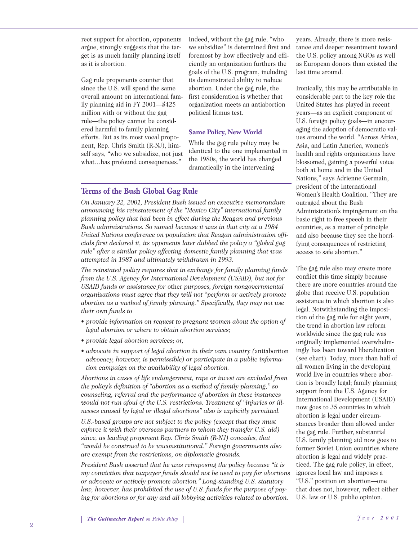rect support for abortion, opponents argue, strongly suggests that the target is as much family planning itself as it is abortion.

Gag rule proponents counter that since the U.S. will spend the same overall amount on international family planning aid in FY 2001—\$425 million with or without the gag rule—the policy cannot be considered harmful to family planning efforts. But as its most vocal proponent, Rep. Chris Smith (R-NJ), himself says, "who we subsidize, not just what...has profound consequences."

Indeed, without the gag rule, "who we subsidize" is determined first and foremost by how effectively and efficiently an organization furthers the goals of the U.S. program, including its demonstrated ability to reduce abortion. Under the gag rule, the first consideration is whether that organization meets an antiabortion political litmus test.

## **Same Policy, New World**

While the gag rule policy may be identical to the one implemented in the 1980s, the world has changed dramatically in the intervening

## **Terms of the Bush Global Gag Rule**

*On January 22, 2001, President Bush issued an executive memorandum announcing his reinstatement of the "Mexico City" international family planning policy that had been in effect during the Reagan and previous Bush administrations. So named because it was in that city at a 1984 United Nations conference on population that Reagan administration officials first declared it, its opponents later dubbed the policy a "global gag rule" after a similar policy affecting domestic family planning that was attempted in 1987 and ultimately withdrawn in 1993.*

*The reinstated policy requires that in exchange for family planning funds from the U.S. Agency for International Development (USAID), but not for USAID funds or assistance for* other *purposes, foreign nongovernmental organizations must agree that they will not "perform or actively promote abortion as a method of family planning." Specifically, they may not use their* own *funds to*

- *provide information on request to pregnant women about the option of legal abortion or where to obtain abortion services;*
- *provide legal abortion services; or,*
- *advocate in support of legal abortion in their own country (*antiabortion *advocacy, however, is permissible) or participate in a public information campaign on the availability of legal abortion.*

*Abortions in cases of life endangerment, rape or incest are excluded from the policy's definition of "abortion as a method of family planning," so counseling, referral and the performance of abortion in these instances would not run afoul of the U.S. restrictions. Treatment of "injuries or illnesses caused by legal or illegal abortions" also is explicitly permitted.*

*U.S.-based groups are not subject to the policy (except that they must enforce it with their overseas partners to whom they transfer U.S. aid) since, as leading proponent Rep. Chris Smith (R-NJ) concedes, that "would be construed to be unconstitutional." Foreign governments also are exempt from the restrictions, on diplomatic grounds.*

*President Bush asserted that he was reimposing the policy because "it is my conviction that taxpayer funds should not be used to pay for abortions or advocate or actively promote abortion." Long-standing U.S. statutory law, however, has prohibited the use of U.S. funds for the purpose of paying for abortions or for any and all lobbying activities related to abortion.*

years. Already, there is more resistance and deeper resentment toward the U.S. policy among NGOs as well as European donors than existed the last time around.

Ironically, this may be attributable in considerable part to the key role the United States has played in recent years—as an explicit component of U.S. foreign policy goals—in encouraging the adoption of democratic values around the world. "Across Africa, Asia, and Latin America, women's health and rights organizations have blossomed, gaining a powerful voice both at home and in the United Nations," says Adrienne Germain, president of the International Women's Health Coalition. "They are outraged about the Bush Administration's impingement on the basic right to free speech in their countries, as a matter of principle and also because they see the horrifying consequences of restricting access to safe abortion."

The gag rule also may create more conflict this time simply because there are more countries around the globe that receive U.S. population assistance in which abortion is also legal. Notwithstanding the imposition of the gag rule for eight years, the trend in abortion law reform worldwide since the gag rule was originally implemented overwhelmingly has been toward liberalization (see chart). Today, more than half of all women living in the developing world live in countries where abortion is broadly legal; family planning support from the U.S. Agency for International Development (USAID) now goes to 35 countries in which abortion is legal under circumstances broader than allowed under the gag rule. Further, substantial U.S. family planning aid now goes to former Soviet Union countries where abortion is legal and widely practiced. The gag rule policy, in effect, ignores local law and imposes a "U.S." position on abortion—one that does not, however, reflect either U.S. law or U.S. public opinion.